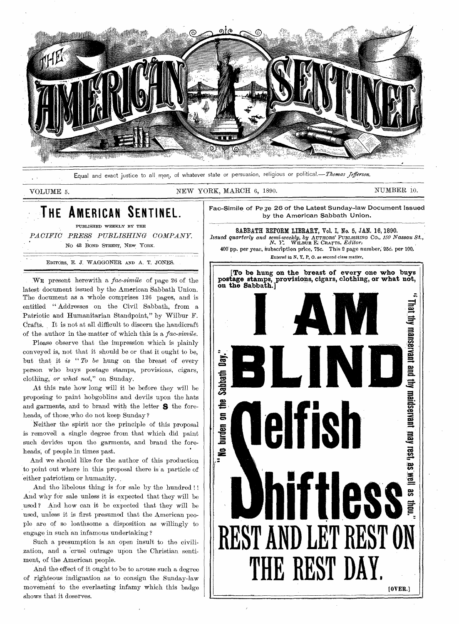

Equal and exact justice to all men, of whatever state or persuasion, religious or political.—Thomas Jefferson.

VOLUME 5. NEW YORK, MARCH 6, 1890. NUMBER 10.

## **THE AMERICAN SENTINEL.**

PUBLISHED WEEKLY BY THE *PACIFIC PRESS PUBLISHING COMPANY. No* 48 BOND STREET, NEW YORK.

EDITORS, E. J. WAGGONER AND A. T. JONES.

WE present herewith a *fac-simile* of page 26 of the latest document issued by the American Sabbath Union. The document as a whole comprises 126 pages, and is entitled " Addresses on the Civil Sabbath, from a Patriotic and Humanitarian Standpoint," by Wilbur F. Crafts. It is not at all difficult to discern the handicraft of the author in the matter of which this is a *fac-simile.* 

Please observe that the impression which is plainly conveyed is, not that it should be or that it ought to be, but that it *is " To be* hung on the breast of every person who buys postage stamps, provisions, cigars, clothing, *or what not,"* on Sunday.

At this rate how long will it be before they will be proposing to paint hobgoblins and devils upon the hats and garments, and to brand with the letter S the foreheads, of those who do not keep Sunday?

Neither the spirit nor the principle of this proposal is removed a single degree from that which did paint such devices upon the garments, and brand the foreheads; of people, in times past.

And we should like for the author of this production to point out where in this proposal there is a particle of either patriotism or humanity.

And the libelous thing is for sale by the hundred !! And why for sale unless it is expected that they will be used ? And how can it be expected that they will be used, unless it is first presumed that the American people are of so loathsome a disposition as willingly to engage in such an infamous undertaking ?

Such a presumption is an open insult to the civilization, and a cruel outrage upon the Christian sentiment, of the American people.

And the effect of it ought to be to arouse such a degree of righteous indignation as to consign the Sunday-law movement to the everlasting infamy which this badge shows that it deserves.



Fac-Simile of Pa ye 26 of the Latest Sunday-law Document Issued by the American Sabbath Union.

SABBATH REFORM LIBRARY, Vol. I, No. 5, JAN. 16, 1890. *Issued quarterly and semi-weekly, by AUTHORS' PUBLISHING CO., 150 Nassau St.,*  $N$ ,  $Y$ . WILBUR F.; CRAFTS, *Editor*: 400"pp. per year. Subscription price, 75c. This 2 page number; 25d. per 100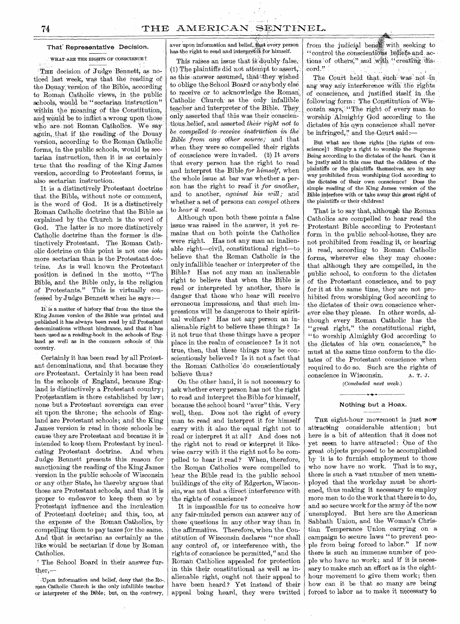### That' Representative Decision.

### WHAT ARE THE RIGHTS OF CONSCIENCE ?

THE decision of Judge Bennett, as noticed last week, was that the reading of the Douay version of the Bible, according to Roman Catholic views, in the public schools, would be "sectarian instruction" within the meaning of the Constitution, and would be to inflict a wrong upon those' who are not Roman Catholics. We say again, that if the reading of the Douay version, according to the Roman Catholic forms, in the public schools, would be sectarian instruction, then it is as certainly true that the reading of the King James version, according to Protestant forms, is also sectarian instruction.

It is a distinctively Protestant doctrine that the Bible, without note or comment, is the word of God. It is a distinctively Roman Catholic doctrine that the Bible as explained by the Church is the word of God. The latter is no more distinctively Catholic, doctrine than the former is distinctively Protestant. The Roman Catholic doctrine on this point is not one *iota*  more sectarian than is the Protestant doctrine. As is well known the Protestant position is defined in the motto, "The Bible, and the Bible only, is the religion of Protestants." This is virtually confessed by Judge Bennett when he says:-

It is a matter of history that from the time the King James version of the Bible was printed and published it has always been read by all Protestant denominations without hindrance, and that it has been used as a reading-book in the schools of England as well as in the common schools of this country.

Certainly it has been read by all Protestant denominations, and that , because they are Protestant. Certainly it has been read in the schools of England, because England is distinctively a Protestant country; Protestantism is there established by law; none but a Protestant sovereign can ever sit upon the throne; the schools of England 'are Protestant schools; and the King James version is read in those schools because they are Protestant and because it is intended to keep them Protestant by inculcating Protestant doctrine. And when Judge Bennett presents this reason for sanctioning the reading of the King James' version in the public schools' of Wisconsin or any other State, he thereby argues that those are Protestant schools, and that it is proper to endeavor to keep them so by 1?rotestant influence and the inculcation of Protestant doctrine; and this, too, at the expense of the Roman Catholics, by compelling them to pay taxes for the same. And that is sectarian as certainly as the like would be sectarian if done by Roman Catholics.

The School Board in their answer further,

:Upon information and belief, deny that ,the Roman Catholic Church is the only infallible teacher or interpreter of the Bible; but, on the contrary, aver upon information and belief, that every person has the right to read and interpret it for himself.

This raises an issue that is doubly false; (1) The plaintiffs did not attempt to assert, as this answer assumed, that they wished to oblige the School Board or anybody else to receive or to acknowledge the Roman, Catholic Church as the only infallible. teacher and interpreter of the Bible. They\_ only asserted that this was their conscientious, belief, and asserted *their right not to be compelled 'to :receive inStrtiction in the Bible from any other source;* and that when they were so compelled their rights of conscience were invaded. (2) It avers that every person has the right to read and interpret the Bible *for himself,* when the whole issue at bar was whether a person has the right to read' it *for another,*  and to another, *against his will;* and whether a set of persons can *compel* others to *hear it read.* 

Although upon both these points a false issue was raised in the answer, it yet remains that on both points the Catholics were right. Has not any man an inalienable right—civil, constitutional right—to\_ believe that the Roman Catholic is the only infallible teacher or interpreter of the Bible ? Has not any man an inalienable right to believe that when the Bible is read or interpreted by another, there is danger that those who hear will receive erroneous impressions, and that such impressions will be dangerous to their spiritual welfare? Has not any person an inalienable right to believe these things ? Is it not true that these things have a proper place in the realm of conscience ? Is it not true, then, that these things may be conscientiously believed? Is it not a fact that the Roman Catholics 'do conscientiously believe thus ?

On the other hand, it is not necessary to ask whether every person has not the right to read and interpret the Bible for himself, because the school board "aver" this. Very well, then. Does not the right of every man to read and interpret it for himself carry with it also the equal right not to read or interpret it at all ? And does not the right not to read or interpret it likewise carry with it the right not to be compelled to hear it read ? When, therefore, the Roman Catholics were compelled to hear the Bible read in the public school buildings of the city of Edgerton, Wisconsin, was not that a direct interference with the rights of conscience ?

It is impossible for us to conceive how any fair-minded person can answer any of these ' questions in any other way than in the affirmative. Therefore, when the Constitution of Wisconsin declares "nor shall any control of, or interference with, the rights of conscience be permitted," and the Remah Catholics appealed for protection in this their constitutional as well as inalienable right, ought not their appeal to have been heard? Yet instead of their appeal being heard, they were twitted

from the judicial benew with seeking to "control the conscientious beliefs and actions of others," and with "creating discord."

The Court held that such was not in any way any interference with the rights of conscience, and justified itself in :the following form: The Constitution of Wisconsin says, "The right of every man to worship Almighty God according to the dictates of his own conscience shall never be infringed," and the Court said:

But what are those rights [the rights of conscience]? Simply a right to worship the Supreme Being according to the dictates of the heart. Can it be justly said in this case that the children of the plaintiffs or the plaintiffs themselves, are in any way prohibited from worshiping God according to the dictates of their own conscience? Does the simple reading of the King James version of the Bible interfere with or take away this great right of the plaintiffs or their children?

That is to say that, although the Roman Catholics are compelled to hear read the Protestant Bible according to Protestant form in the public school-house, they are not prohibited from reading it, or hearing it read, according to Roman Catholic forms, wherever else they may choose: that although they are compelled, in the public school, to conform to the dictates of the Protestant conscience, and to pay for it at the same time, they are not prohibited from worshiping God according to the dictates of their own conscience wherever else they please. In other words, although every Roman Catholic has the "great right," the constitutional right, "to worship Almighty God according to the dictates of his own conscience," he must at the same time conform to the dictates of the Protestant conscience when required to do so. Such are the rights of conscience in Wisconsin.  $A. T. J.$ conscience in Wisconsin.

*(Concluded next week.)* 

### Nothing but a Hoax.

THE eight-hour movement is just now attracting considerable attention; but here is a bit of attention that it does not yet seem to have attracted: One of the great objects proposed to be accomplished by 'it is to furnish employment to those who now have no work. That is to say, there is such a vast number of men unemployed that the workday must be shortened, thus making it necessary to employ more men to do the work that there is to do, and so secure work for the army of the now 'unemployed. But here are the American Sabbath Union, and the Woman's Christian Temperance Union carrying on a campaign to secure laws "to prevent people from being forced to labor." If now there is such an immense number of people who have no work; and if it is necessary to make such an effort as is the eighthour movement to give them work; then how can it be that so many are being forced to labor as to make it necessary to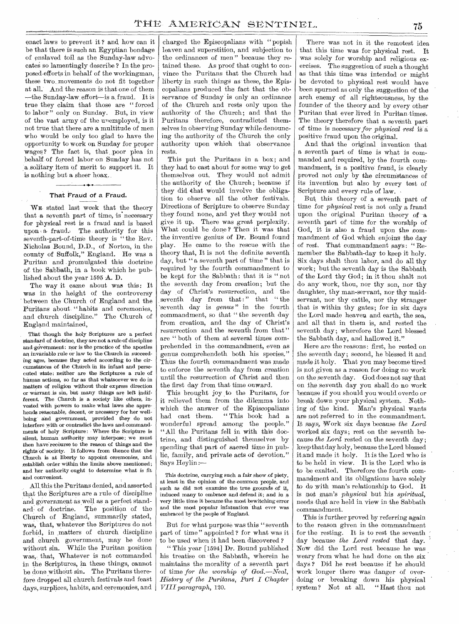enact laws to prevent it ? and how can it be that there is such an Egyptian bondage of enslaved toil as the Sunday-law advocates so lamentingly describe ? In the proposedefforts in behalf of the workingman, these two movements do not fit together at all. And the reason is that one of them --the Sunday-law, effort—is a fraud. It is true they claim that those are " forced to labor" only on Sunday. But, in view of the vast army of the unemployed, is it not true that, there are a multitude of men who would be only too glad to have the opportunity to work on Sunday for proper wages? The fact is, that poor plea in behalf of forced labor on Sunday has not a solitary item of merit to support it. It is nothing but a sheer hoax.

### That Fraud of a Fraud.

WE stated last week that the theory that a seventh part of time, is' necessary for physical rest is a fraud and is based upon a fraud. The authority for this seventh-part-of-time theory is " the Rev. Nicholas Bound, D.D., of Norton, in the county of Suffolk," England. He' was a Puritan and promulgated this doctrine of. the Sabbath, in. a book which he published about the year 1595 A.D.

The way it came about was this: It was in the height of the controversy between the Church of England and the puritans about " habits and ceremonies, and church discipline." The Church of England maintained,

That though the holy Scriptures are a perfect standard of doctrine, they are not a rule of discipline and. government: nor is the practice of the apostles an invariable rule or law to the Church in succeeding ages, because they acted according to the circumstances of the Church in its infant and persecuted state: neither are the Scriptures a rule of human actions, so far as that whatsoever we do in matters of religion without their express direction or warrant is sin, but many things are left indifferent. The Church is a society like others, invested with powers to make what laws she apprehends reasonable, decent, or necessary for her wellbeing and government, provided they do not interfere with or contradict the laws and commandments of holy Scripture: Where the Scripture is silent, human authority may interpose; we must then have'recourse to the reason of things and the rights of society. It follows from thence that the Church is at liberty to appoint ceremonies, and establish order within the limits above mentioned; and her authority ought to determine what is fit and convenient.

All this the Puritans denied, and asserted that the Scriptures are a rule of discipline and government as well as a perfect standard, of doctrine. The position of the Church of England, summarily stated, was, that, whatever the Scriptures do not forbid, in matters of church discipline and church government, may be done without sin. While the Puritan .position was, that, Whatever is not commanded in. the Scriptures, in these things, cannot be done without sin. The, Puritans therefore dropped all church festivals and feast days, surplices, habits, and ceremonies, and

charged the Episcopalians with " popish leaven and superstition, and subjection to the ordinances of men " because they retained these. As proof that ought to convince the Puritans that the Church had liberty in such things as these, the Episcopalians produced the fact that the observance of Sunday is only an ordinance of the Church and rests only upon the authority of the Church; and that the Puritans therefore, contradicted themselves in observing Sunday while denouncing the authority of the Church the only authority upon which that observance rests.

This put the Puritans in a box; and they had to cast about for some way to get themselves out. They would not admit the authority of the Church; because if they did that would involve the obligation to observe all the other festivals. Directions of Scripture to observe Sunday they found none, and yet they would not give it up. There was great perplexity. What could be done ? Then it was that the inventive genius of Dr. Bound found play. He came to the rescue with the theory that, It is not the definite seventh day, but " a seventh part of time" that is required by the fourth commandment to be kept for the Sabbath: that it is " not the seventh day from creation; but the day of Christ's resurrection, and the seventh day from that:" that "the 'seventh day is *genus"* in the fourth commandment, so that " the seventh day from creation, and the day of Christ's resurrection and the seventh from that" are " both of them at several times comprehended in the •commandment, even as genus comprehendeth both his species," Thus the fourth commandment was made to enforce the seventh day from creation until the resurrection of Christ and then the first day from that time onward.

This brought joy to the Puritans, for it relieved them from the dilemma into which the answer of the Episcopalians<br>had cast them. "This book had a "This book had a wonderful spread among the people." "All the Puritans fell in with this doctrine, and distinguished themselves by spending that part of sacred time in public, family, and private acts of devotion." Says Heylin :—

This doctrine, carrying such a fair show of piety, at least in the opinion of the common people, and such as did not examine the true grounds of it, induced many to embrace and defend it; and in a very little time it became the most bewitching error and the most popular infatuation that ever was embraced by the people of England.

But for what purpose was this "seventh" part of time " appointed ? for what was it to be used when it had been discovered ?

" This year [1594] Dr. Bound published his treatise on the Sabbath, wherein he maintains the morality of a seventh part of time *for the worship of God.—Neal, History of the Puritans, Part I Chapter VIII paragraph,* 120,

There was not in it the remotest idea that this time was for physical rest. It was solely for worship and religious exercises. The suggestion of such a thought as that this time was intended or might be devoted to physical rest would have been spurned as only the suggestion of the arch enemy of all righteousness, by the founder of the theory and by every other Puritan that ever lived in Puritan times, The theory therefore that a seventh part of time is necessary *for physical rest* is a positive fraud upon the original.

And that the original invention that a seventh part of time is what is commanded and required, by the fourth commandment, is a positive fraud, is clearly proved not only by the circumstances of its invention but also by every test of Scripture and every rule of law.

But, this theory of a seventh part of time for *physical* rest is not only a fraud upon the original Puritan theory of a seventh part of time for the worship of God, it is also a fraud upon the commandment of God which enjoins the day of rest. That commandment says : " Remember the Sabbath-day to keep it holy. Six days shalt thou labor, and do all thy work; but the seventh day is the Sabbath of the Lord thy God; in it thou shalt not do any' work, thou, nor thy son, nor thy daughter, thy man-servant, nor thy maidservant, nor thy cattle, nor thy stranger that is within thy gates; for in six days the Lord made heaven and earth, the sea, and all that in them is, and rested the seventh day; wherefore the Lord blessed the Sabbath day, and hallowed it."

Here are the reasons: first, he rested on the seventh day; second, he blessed it and made it holy. That you may become tired is not given as a reason for doing no work on the seventh day. God does not say that on the seventh day you shall do no work because if you should you would overdo or break down your physical system. Nothing of the kind. Man's physical wants are not referred to in the commandment. It says, Work six days because the Lord worked six days; rest on the seventh because *the Lord* rested on the seventh day; keep that day holy, because the Lord blessed it and made it holy. It is the Lord who is to be held in view. It is the Lord who is to be exalted. Therefore the fourth commandment and its obligations have solely to do with man's relationship to God. It is not man's *physical* but his *spiritual,*  needs that are held in view in the Sabbath commandment.

This is further proved by referring again to the reason given in the commandment for the resting. It is to rest the seventh day because *the Lord rested* that day. ' Now did the Lord rest because he was weary from what he had done on the six days ? Did he rest because if he should work longer there was danger of overdoing or breaking down his physical<br>system? Not at all. "Hast thou not system? Not at all.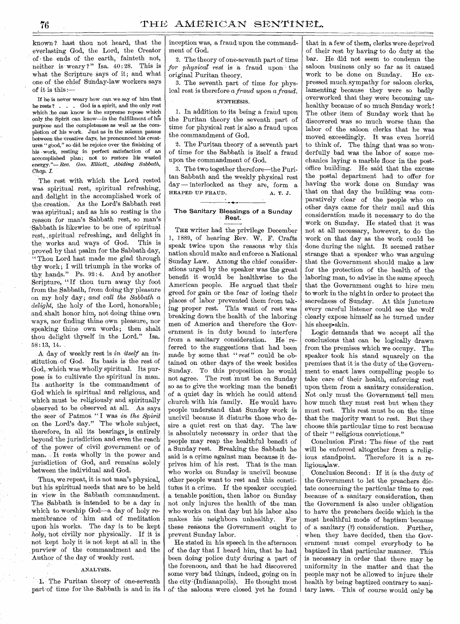known ? hast thou not heard, that the everlasting God, the Lord, the Creator of the ends of the earth, fainteth not, neither is weary?" Isa.  $40:28$ . This is what the Scripture says of it; and what one of the chief Sunday-law workers says of it is this :—

If he is never weary how can we say of him that he rests ? . . . God is a spirit, and the only rest which ;he can know is the supreme repose which only the Spirit can know—in the fulfillment of his purpbse and the completeness as well as the completion of his work. Just as in the solemn pauses between the creative days, he pronounced his creatures " good," so did he rejoice over the finishing of his •work, resting in perfect satisfaction of an accomplished plan; not to restore his wasted energy."— *Rev. Geo. Elliott,. Abiding Sabbath, Chap. I.* 

The rest with which the Lord rested was spiritual rest, spiritual refreshing, and, delight in the accomplished work of the creation. As the Lord's Sabbath rest was spiritual; and as his so resting is the reason for man's Sabbath rest, so man's •Sabbath is likewise to be one of spiritual rest, spiritual refreshing, and delight in the works and ways of God. This is proved by that psalm for the Sabbath day, "Thou Lord hast made me glad through thy work; I will triumph in the works of thy hands." Ps. 92:4. And by another Scripture, "If thou turn away thy foot from the Sabbath, from doing thy pleasure on my holy day; and call the Sabbath a *delight,* the holy of the Lord, honorable; and shalt honor him., not doing thine own ways, nor finding thine own pleasure, nor speaking thine own words; then shalt thou delight thyself in the Lord." Isa. 58 :13, 14.

A day of weekly rest is in *itself* an institution of God. Its basis is the rest of God, which was wholly spiritual. Its purpose is to cultivate the spiritual in man. Its authority is the commandment of God which is spiritual and religious, and which must be religiously and spiritually observed to be observed at all.. As says the seer of Patmos " I was in *the Spirit*  on the Lord's day." 'The whole subject, therefore, in all its bearings. is entirely beyond-the jurisdiction and even the reach: of the power of civil government or of man. It rests wholly in the power and jurisdiction of God, and remains solely between the individual and God.

Thus, we repeat, it is not man's physical, but his spiritual needs that are to be held in view in the Sabbath commandment. The Sabbath is intended to be a day in which to worship God—a day of holy reinenibrance of him and of meditation upon •his works. The day is to be kept *holy;•*not civilly nor physically. If it is not kept holy it is not kept at all in the purview of the commandment and the Author of the day of weekly rest.

### ANALYSIS.

L The Puritan theory of one-seventh part:of time for the. Sabbath is and in its inception was, a fraud upon the commandment of God.

2. The theory of one-seventh part of time *for physical rest* is a fraud upon the original Puritan theory.

3. The seventh part of time for physical rest is therefore a *fraud upon a fraud.* 

### SYNTHESIS.

1. In addition to its being a fraud upon the Puritan theory the seventh part of time for physical rest is' also a fraud upon the commandment of God.

2. The Puritan theory of a seventh part of time for the Sabbath is itself a fraud upon the commandment of God.

3. The two together therefore—the Puritan Sabbath and the weekly physical rest day — interlocked as they are, form a HEAPED UP FRAUD. A. T. J.

### The Sanitary Blessings of a Sunday Rest.

THE writer had the privilege December 1, 1889, of hearing Rev. W. F. Crafts speak twice upon the reasons why this nation should make and enforce a National Sunday Law. Among the chief considerations urged by the speaker was the great benefit it would be healthwise to the American people. He argued that their greed for gain or the fear of losing their places of labor prevented them from taking proper rest. This want of rest was breaking down the health of the laboring men of America and therefore the Government is in duty bound to interfere from a sanitary consideration. He referred to the suggestions that had been made by some that *" rest"* could be obtained on other days of the week besides Sunday. To this proposition he would not agree. The rest must be on Sunday so as to give the working man the benefit of a quiet day in which he could attend church with his family. He would have people understand that Sunday work is uncivil because it disturbs those who desire a quiet rest on that day. The law is absolutely necessary in order that the people may reap the healthful benefit of a Sunday rest. Breaking the Sabbath he said is a crime against man because it deprives him of his rest. That is the man who works on Sunday is uncivil because other people want to rest and this constitutes it a crime. If the speaker occupied a tenable position, then labor on Sunday not only injures the health of the man who works on that day but his labor also makes his neighbors unhealthy. For these reasons the Government ought to prevent Sunday labor.

He stated in his speech in the afternoon of the day that I heard him, that' he had been doing police duty during a part of the forenoon, and that he had discovered some very bad things, indeed, going on in the city (Indianapolis). He thought most of the saloons were closed yet he found

that in a few of them, clerks were deprived of their rest by having to do duty at the bar. He did not seem to condemn the saloon business only so far as it caused work to be done on Sunday. He expressed much sympathy for saloon clerks, lamenting because they were so badly overworked that they were becoming unhealthy because of so much Sunday work ! The other item of Sunday work that he discovered was so much worse than the labor of the saloon clerks that he was moved exceedingly. It was even horrid to think of. The thing that was so wonderfully bad was the labor of some mechanics laying a marble floor in the postoffice building. He said that the excuse the postal department had to offer for having the work done on Sunday was that on that day the building was comparatively clear of the people who on other days came for their mail and this consideration made it necessary to do the work on Sunday. He stated that it was not at all necessary, however, to do the work on that day as the work could be done during the night. It seemed rather strange that a speaker who was arguing that the Government should make a law for the protection of the health of the laboring man, to advise in the same speech that the Government ought to hire men to work in the night in order to protect the sacredness of Sunday. At this juncture every careful listener could see the wolf clearly expose himself as he turned under his sheepskin.

Logic demands that we accept all the conclusions that can be logically drawn from the premises which we occupy. The speaker took his stand squarely on the premises that it is the duty of the Government to enact laws compelling people to take care of their health, enforcing rest upon them from a sanitary consideration. Not only must the Government tell men how much they must rest but when they must rest. This rest must be on the time that the majority want to rest. But they choose this particular time to rest because of their " religious convictions."

Conclusion First: The *time* of the rest will be enforced altogether from a relig-<br>ious standpoint. Therefore it is a re-Therefore it is a religious.law.

Conclusion Second : If it is the duty of the Government to let the preachers dictate concerning the particular time to rest because of a• sanitary consideration, then the Government is also under obligation to have the preachers decide which is the most healthful mode of baptism' because of a sanitary (?) consideration. Further, when they have decided, then the Government must compel everybody to be baptized in that particular manner. This is necessary in order that there may be uniformity in the matter and that the people may not be allowed to injure their health by being baptized contrary to sanitary laws. This of course would only be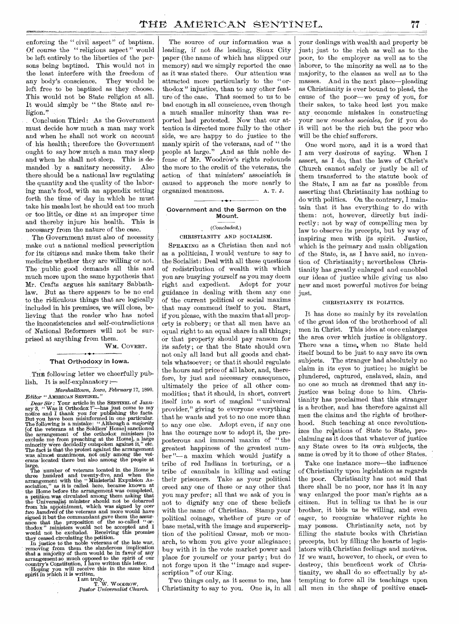enforcing the "civil aspect" of baptism. Of course the " religious aspect " would be left entirely to the liberties of the persons being baptized. This would not in the least interfere with the freedom of any body's conscience. They would be left, free to be baptized as they choose. This would not be State religion at all. It would simply be " the State and religion."

Conclusion Third: As the Government must decide how much a man may work and when he shall not work on account of his health; therefore the Government ought to say how much a man may sleep and when he shall not sleep. This is demanded by a sanitary necessity. Also there should be a national law regulating the quantity and the quality of the laboring man's food, with an appendix setting forth the time of day in which he must take his meals lest he should eat too much or too little, or dine at an improper time and thereby injure his health. This is necessary from the nature of the case.

The Government must also of necessity make, out a national medical prescription for its citizens and make them take their medicine whether they are willing or not. The public good demands all this and much more upon the same hypothesis that Mr. Crafts argues his sanitary Sabbathlaw. But as there appears to be no end to the ridiculous things that are logically included in his premises, we will' close, believing that the reader who has noted the inconsistencies and self-contradictions of National Reformers will not be surprised at anything from them.

WM. COVERT.

### That Orthodoxy in Iowa.

THE following letter we cheerfully publish, It is self-explanatory *:—* 

*Marshalltbwn, Iowa, February 17,* 1890. *Editor "* AMERICAN SENTINEL."

Dear Sir: Your article in the SENTINEL of January 3, "Was it Orthodox ?"—has just come to my<br>notice and I thank you for publishing the facts.<br>But you have been misinformed in one particular.<br>The following is a mistake: "A The fact is that the protest against the arrangement was, almost unanimous, not only among the veterans located' there but also among the people at

large. The 'number of veterans located in the Home is three hundred and twenty-five, and when the arrangement with the. " Ministerial Expulsion As-sociation," as it is called here, became known at the Home before the arrangement was completed, a petition was circulated among them asking that the' Universalist minister should not be debarred from "his appointment, which was signed by *over*  two hundred of the veterans and more would have signed it but the commandant gave them the assur-<br>ance that the proposition of the so-called "or-<br>thodox" ministers would not be accepted and I would not be excluded. Receiving this promise

they ceased circulating the petition. In justice to the noble veterans of the late war, removing from them the slanderous implication that a majority of them would be in favor of any arrangement so much opposed to the spirit of our

country's Constitution, I have written this letter. Hoping you will receive this in the same kind spirit in which it is written,

I am truly, T. W. WOODROW, *Pastor Universalist Church.* 

The source of our information was a leading, if not *the* leading, Sioux City paper (the name of which has slipped our memory) and we simply reported the case as it was stated there. Our attention was attracted more particularly to the " orthodox " injustice, than to any other feature of the case. That seemed to us to be bad enough in all conscience, even though a much smaller minority than was reported had protested. Now that our attention is directed more fully to the other side, we are happy to do justice to the manly spirit of the veterans, and of "the people at large." ,And as this noble defense of Mr. Woodrow's rights redounds the more to the credit of the veterans, the action of that ministers' association is caused to approach the more nearly to organized meanness. A. T. J.

### Government and the Sermon on the Mount.

### *(Concluded.)*

CHRISTIANITY AND SOCIALISM.

SPEAKING as a Christian then and not as a politician, I would, venture to say to the Socialist: Deal with all these questions of redistribution of wealth with which you are busying yourself as you may deem right and expedient. Adopt for your guidance in dealing with them any one of the current political or social maxims that may commend itself to you. Start, if you please, with the maxim that all property is robbery; or that all men have an equal right to an equal share in all things; or that property should pay ransom for its safety ; or that the State should own not only all land but all goods and chattels whatsoever; or that it should regulate the hours and price of all labor, and, therefore, by just and necessary consequence, ultimately the price of all other commodities; that it should, in short, convert itself into a sort of magical " universal provider," giving to everyone everything that he wants and yet to no one more than to any one else. Adopt even, if any one has the courage now to adopt it, the preposterous and immoral maxim of " the greatest happiness of the greatest number "— a maxim which would justify a tribe of red Indians in torturing, or a tribe of cannibals in killing and eating their prisoners. Take as your political creed any one of these or any other that you may prefer; all that we ask of you is not to dignify any one of these beliefs with the name of Christian. Stamp your political coinage, whether of pure or of base metal,with the image and superscription of the political Cæsar, mob or monarch, to whom you give your allegiance ; buy with it in the vote market power and place for yourself or your party ; but do not forge upon it the " image and superscription" of our King.

Two things only, as it seems to me, has Christianity to say to you. One is, in all

your dealings with wealth and property be just; just to the rich as well as to the poor, to the employer as well as to the laborer, to the minority as well as to the majority, to the classes as well as to the masses. And in the next place—pleading as Christianity is ever bound to plead, the cause of the poor—we pray of you, for their sakes, to take heed lest you make any economic mistakes in constructing your new *couches sociales,* for if you do it will not be the rich but the poor who will be the chief sufferers.

One word more, and it is a word that I am very desirous of saying. When I assert, as I do, that the laws of Christ's Church cannot safely or justly be all of them transferred to the statute book of the State, I am as far as possible from asserting that Christianity has nothing to do with politics. On the contrary, I maintain that it has everything to do with them: not, however, directly but indirectly : not by way of compelling men by law to observe its precepts, but by way of inspiring men with its spirit. Justice, which is the primary and main obligation of the State, is, as I have said, no invention of Christianity; nevertheless Christianity has greatly enlarged and ennobled our ideas of justice while giving 'us also new and most powerful motives for being just.

#### CHRISTIANITY IN POLITICS.

It has done so mainly by its revelation of the great idea of the brotherhood of all men in Christ. This idea at once enlarges the area over which justice is obligatory. There was a time, when no State held itself bound to be just to any save its own subjects. The stranger had absolutely no claim in its eyes to justice; he might be plundered, captured, enslaved, slain, and no one so much as dreamed that any injustice was being done to him. Christianity has proclaimed that this stranger is a brother, and has therefore against all men the claims and the rights of brotherhood. Such teaching at once revolutionizes the relations of State to State, proclaiming as it does that whatever of justice any State owes to its own subjects, the same is owed by it to those of other States.

Take one instance more—the influence of Christianity upon legislation as regards the poor. Christianity has not said that there shall be no poor, nor has it in any way enlarged the poor man's rights as a citizen. But in telling us that he is our brother, it bids us be willing, and even eager, to recognize whatever rights he may possess. Christianity acts, not by filling the statute books with Christian precepts, but by filling the hearts of legislators with Christian feelings and motives. If we want, however, to check, or even to destroy, this beneficent work of Christianity, we shall do so effectually by attempting to force all its teachings upon all men in the shape of positive enact-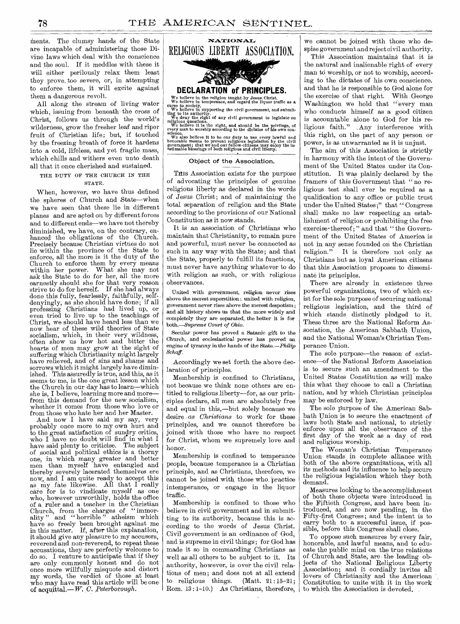ments. The clumsy hands of the State are incapable of administering those Divine laws which deal with the conscience and the soul. If it meddles with these it will either perilously relax them least they prove. too severe, or, in attempting to enforce them, it will excite against them a dangerous revolt.

All along the stream of living water which, issuing from beneath the cross of Christ, follows us through the world's wilderness, grow the fresher leaf and riper fruit of Christian life; but, if touched by the freezing breath of force it hardens into a cold, lifeless, and yet fragile mass, which chills and withers even unto death all that it once cherished and sustained.

### THE DUTY OF THE CHURCH IN THE STATE.

When, however, we have thus defined the spheres of Church and State—when we have seen that these lie in different planes and are acted on by different forces and to different ends—we have not thereby diminished, we have, on the contrary, enhanced the obligations of the Church. Precisely because Christian virtues do not lie within the province of the State to enforce, all the more is it the duty of the Church to enforce them by every means<br>within her power. What she may not within her power. ask the State to do for her, all the more earnestly should she for that very reason strive to do for herself. If she had always done this fully, fearlessly, faithfully, selfdenyingly, as she should have done; if all professing Christians had lived up, or even tried to live up to the teachings of Christ, we should have heard less than we now hear of these wild theories of State socialism, which, in their very wildness, often show us how hot and bitter the hearts of men may grow at the sight of suffering which Christianity might largely have relieved, and of sins and shame and sorrows which it might largely have dimin-<br>ished. This assuredly is true, and this, as it This assuredly is true, and this, as it seems to me, is the one great lesson which the Church in our day has to learn—which she is, I believe, learning more and more from this demand for the new socialism. whether it comes from those who love or from those who hate her and her Master.

And now I have said my say, very probably once more to my own hurt and to the great satisfaction of sundry critics, who I have no doubt will find in what I have said plenty to criticise. The subject of social and political ethics is a thorny one, in which many greater and better men than myself have entangled and thereby severely lacerated themselves ere now, and I am quite ready to accept this as my fate likewise. All that I really care for is to vindicate myself as one who, however unworthily, holds the office of a ruler and a teacher in the Christian Church, from the charges of " immorality" and "horrible" atheism which have so freely been brought against me in this matter. If, after this explanation, it should give any pleasure to my accusers, reverend and non-reverend, to repeat these accusations, they are perfectly welcome to do so. I venture to anticipate that if they are only commonly honest and do not once more willfully misquote and distort my words, the verdict of those at least who may have read this article will be oneof accinittal.—W. C. *Peterborough.* 



### Object of the Association.

THIS Association exists for the purpose of advocating the principles of genuine religious liberty as declared in the words of Jesus Christ; and of maintaining the total separation of religion and the State according to the provisions of our National Constitution as it now stands.

It is an association of Christians who maintain that Christianity, to remain pure and powerful, must never be connected as such in any way with the State; and that the State, properly to fulfill its functions, must never have anything whatever to do with religion as such, or with religious observances.

United with government, religion never rises above the merest superstition; united with religion, government never rises above the merest despotism ; and all history shows us that the more widely and completely they are separated, the better it is for *both.—Supreme Court of Ohio.* 

Secular power has proved a Satanic gift to the Church, and ecclesiastical power has proved an engine of tyranny in the hands of the State.—Philip *Schaf f.* 

Accordingly we set forth the above declaration of principles.

Membership is confined to Christians, not because we think none others are entitled to religious liberty—for, as our principles declare, all men are absolutely free and equal in this,—but solely because we desire *as Christians* to work for these principles, and we cannot therefore be joined with those who have no respect for Christ, whom we supremely love and honor.

Membership is confined to temperance people, because temperance is a Christian principle, and as Christians, therefore, we cannot be joined with those who practice intemperance, or engage in the liquor traffic.

Membership is confined to those who believe in civil government and in submitting to its authority, because this is according to the words of Jesus Christ. Civil government is an ordinance of God, and is supreme in civil things; for God has made it so in commanding Christians as well as all others to be subject to it. Its authority, however, is over the civil relations of men; and does not at all extend to religious things. (Matt.  $21:15-21$ ; Rom. 13:1-10.) As Christians, therefore, we cannot be joined with those who despise government and reject civil authority.

This Association maintains that it is the natural and inalienable right of every man to worship, or not to worship, according to the dictates of his own conscience. and that he is responsible to God alone for the exercise of that right. With George Washington we hold that "every man who conducts himself as a good citizen is accountable alone to God for his religious faith." Any interference with this right, on the part of any person or power, is as unwarranted as it is unjust.

The aim of this Association is strictly in harmony with the intent of the Government of the United States under its Constitution. It was plainly declared by the framers of this Government that "no religious test shall ever be required as a qualification to any office or public trust under the United States;" that "Congress shall make no law respecting an establishment of religion or prohibiting the free exercise · thereof; " and that " the Government of the United States of America is not in any sense founded on the Christian<br>religion." It is therefore not only as It is therefore not only as Christians but as, loyal American citizens that this Association proposes to disseminate its principles.

There are already in existence three powerful organizations, two of which exist for the sole purpose of securing national religious legislation, and the third of which stands distinctly pledged to it. These three are the National Reform Association, the American Sabbath Union, and the National Woman's Christian Temperance Union.

The sole purpose—the reason of existence—of the National Reform Association is to secure such an amendment to the United States Constitution as will make this what they choose to call a Christian nation, and by which Christian principles may be enforced by law.

The sole purpose of the American Sabbath Union is to secure the enactment of laws both State and national, to strictly enforce upon all the observance of the first day of the week as a day of rest and religious worship.

The Woman's Christian Temperance Union stands in complete alliance with both of the above organizations, with all its methods and its influence to help secure the religious legislation which they both demand

Measures looking to the accomplishment of both these Objects were introduced in the Fiftieth Congress, and have been introduced, and are now pending, in the Fifty-first Congress; and the intent is to carry both to a successful issue, if possible, before this Congress shall close.

To oppose such measures by every fair, honorable, and lawful means, and to educate the public mind on the true relations of Church and State, are the leading objects of the National Religious Liberty Association; and it cordially invites all lovers of Christianity and the American Constitution to unite with it in the work to which the Association is devoted,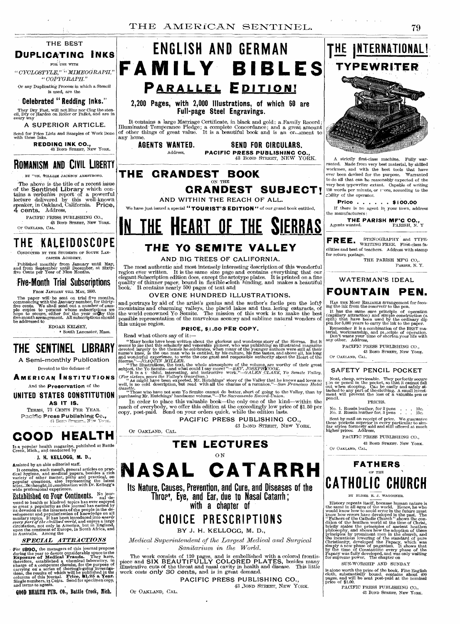

### $\sqrt{\text{FOR}}$  USE WITH *"CYCLOSTYLE,""MIMEOGRAPH,"*

*"COPYGRAPH."*  Or any Duplicating Process in which a Stencil is used, are the

**Celebrated " Redding Inks."** 

They Dry Fast, will not Blur nor Clog the sten-cil, Dry or Harden on Roller or Pallet, and are in every way

**A SUPERIOR ARTICLE.** 

Send for Price Lists and Samples of Work Done with these Inks.

**REDDING INK CO.,**<br>43 BOND STREET, NEW YORK.

### **ROMANISM AND CIVIL LIBERTY**

BY "ON, WILLIAM JACKSON ARMSTRONG.

The above is the title of a recent issue of the **Sentinel Library** which con-tains a *verbatim* report of a powerful lecture delivered by this well-known speaker, in Oakland, California. **Price,**  4 **cents.** Address,

PACIFIC PRESS PUBLISHING CO., Solution of the Street, New York.<br>Or Oakland, Cal.

## THE KALEIDOSCOPE

• CONDUCTED BY THE STUDENTS OF SOUTH LAN-CASTER ACADEMY.

Published monthly from January until May, and from September until December, at Sixty-five Cents per Year of Nine Months.

### **Five-Month Trial Subscriptions**

FROM JANUARY TILL MAY, 1890.

The paper will be sent on trial five months, commencing with the January number, for thirty-<br>free cents. We shall send out a number of sample copies to persons whose subscriptions we<br>hope to secure, either for the year or

EDGAR KELSEY, South Lancaster, Mass.

# **THE SENTINEL LIBRARY**

**A Semi-monthly Publication**.

Devoted to the defense of

**AMERICAN INSTITUTIONS** 

And the Preservation of the **UNITED STATES CONSTITUTION** 

**AS IT IS.** 

TERMS, 75 CENTS PER YEAR. Pacific Press Publishing Co., 43. Box:

# **GOOD HEALTH**

Is a popular health magazine, published at Battle<br>Creek, Mich., and conducted by

### **J. H.** KELLOGG, M. D.,

Assisted by an able editorial staff.

It contains, each month, general articles on practical hygiene, and medical papers, besides a rich variety of other matter, pithy and practical, on popular questions, also representing the latest scient...frothought, in co

**Extablished on Four Continents.** No jour-<br>voted to health or kindred topics has ever enjoyed<br>so great a popularity as this journal has earned by<br>its development of the interests of the people in the de-<br>velopment and popu

### **SPECIAL ATTRACTIONS**

For 1890, the managers of this journal propose<br>during the year to devote considerable space to the<br>Exposure of Medical Frauds. They have,<br>therefore, established a chemical laboratory, in<br>charge of a competent chemist, for

GOOD BEILTII PUB. **CO., Battle** Creek, likh,



### **2,200 Pages, with 2,000 Illustrations, of which 60 are Full-page Steel Engravings.**

It contains a large Marriage Certificate, in black and gold; a Family Record;<br>Illuminated Temperance Pledge; a complete Concordance; and a great amount<br>of other things of great value. It is a beautiful book and is an orna any home.

**AGENTS WANTED. SEND FOR CIRCULARS.**  Address, **PACIFIC PRESS PUBLISHING CO.,**  43 BOND STREET, NEW YORK.

**THE GRANDEST BOOK**  ON THE **CRANDEST SUBJECT!** 

**AND WITHIN THE REACH OF ALL.** 

We have just issued a special "**TOURIST'S EDITION**" of our grand book entitled,

<u>THE HEART OF THE </u>

## **THE YO SEMITE VALLEY**

### **AND BIG TREES OF CALIFORNIA.**

The most authentic and most intensely interesting description of this wonderful region ever written. It is the same size page and contains everything that our elegant Subscription edition does, except the artotype plates. It is printed on a fine quality of thinner paper, bound in flexible cloth bindin

### OVER ONE HUNDRED ILLUSTRATIONS.

and portrays by aid of the artist's genius and the author's facile pen the loft $\mathfrak{f}$  mountains and charming valleys, the placid lakes and thul lering cataracts, of the world-renowned Yo Semite. The mission of this wor this unique region.

### **PRICE, \$,1.50 PER COPY.**

Read what others say of it :—

Or OAKLAND, CAL.

"Many books have been written about the glorious and wondrous story of the Sierras. But it seems to me that this scholarly and venerable pioneer, who was publishing an illustrated magazine devoted largely to the themes he

" Those who have not seen Yo Semite cannot do better, short of going to the Valley, than by purchasing Mr. Hutchings' handsome volume."—The *Sacramento* Record-Union.

In order to place this valuable book—the only one of the kind—within the reach of everybody, we offer this edition at the exceedingly low price of \$1.50 per copy, post-paid. Send on your orders quick, while the edition la

**PACIFIC PRESS PUBLISHING CO.,**  43 **bond STREET, NEW YORK.** 

### **TEN LECTURES**

### ON

# **NASAL CATARRH**

**Its Nature, Causes, Prevention, and Cure, and Diseases of the Throe., Eye, and Ear, due to Nasal Catarrh ; with a chapter of** 

**CHOICE PRESCRIPTIONS** 

BY J. H. KELLOGG, M. D.,

*Medical Superintendent of the Largest Medical and Surgical Sanitarium in the World.* 

The work consists of 120 pages, and is embellished with a colored frontispiece and SIX BEAUTIFULLY COLORED PLATES, besides many illustrative cuts of the throat and nasal cavity in health and disease. This little work costs

PACIFIC PRESS PUBLISHING CO., 43 3OND STREET, NEW YORK.

Or OAKLAND, CAL,



A strictly first-class machine. Fully warranted. Made from very best material, by skilled workmen, and with the best tools that have ever been devised for the purpose. Warranted to do all that can be reasonably expected of the very best typewriter extant. Capable of writing 150 words per minute, or rore, according to the  $\operatorname{cblity}$  of the operator.

Price . . . . . . \$100.00 If there is no agent in your town, address the manufacturers:

**THE PARISH MF'G CO.,**  Agents wanted. PARISH, N. Y

**FREE** STENOGRAPHY and TYPE- **-** WRITING FREE. First-class facilities and best of teachers. Address with stamp for return postage. THE PARISH MFG CO,.

PARISH, N. Y.

### WATERMAN'S IDEAL

## **FOUNTAIN PEN.**

HAS THE MOST RELIABLE *arrangement* for feeqing the ink from the reservoir to the pen. It has the same sure principle of operation (capillary attraction) and simple construction (a split) that have been used by the ordinary dip pen for 5,000 years to carry the ink to the paper.

Remember it is a combination of the BEST material, workmanship, and pi...dcple of operation.<br>
Don't waste your time or shorten.your life with<br>
any other. Address,

PACIFIC PRESS PUBLISHING CO., 43 BOND STREET, NEW YORK.

Or OAKLAND, CAL.

### **SAFETY PENCIL POCKET**

Neat, cheap, serviceable. They perfectly secure<br>con or pencil in the pocket, so that it cannot fall<br>out when stooping. Can be easily and safely at-<br>tached to any part of the clothing. A small invest-<br>ment, will prevent the pencil.

PRICES.

No. 1. Russia leather, for 2 pens No. 2. Russia leather for, 3 pens . . 15c.

Sent by mail on receipt of price, We guarantee these pockets superior in every particular to sim-ilar styles formerly sold and still offered at much higher prices. Address,

PACIFIC PRESS PUBLISHING CO., 43 BOND STREET. NEW YORK.

Or OAKLAND, CAL.

### **FATHERS** - **OF CATHOLIC CHURCH**

### BY ELDER E. J. WAGGONER.

History repeats itself, because human nature is<br>the same in all ages of the world. Hence, he who<br>would know how to avoid error in the future must<br>know how troms have developed in the past. The "Fathers of the Catholic Chur

SUN-WORSHIP AND SUNDAY

is alone worth the price of the book. Fine English cloth, substantially bound, contains about 400 pages, and will be sent post-paid at the nominal price of \$1.00.

PACIFIC PRESS PUBLISHING CO., 43 BOND STREET, NEW YORK.